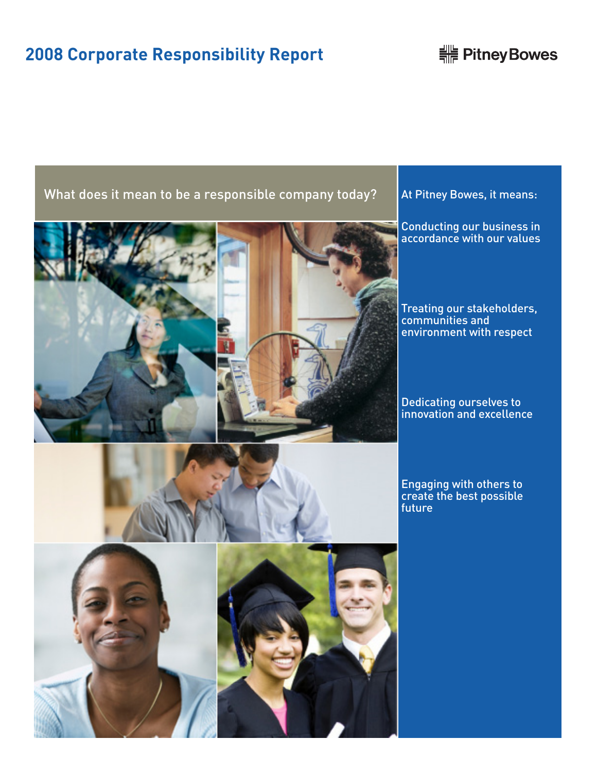# **2008 Corporate Responsibility Report**

# **HE Pitney Bowes**

# What does it mean to be a responsible company today?  $\blacksquare$  At Pitney Bowes, it means:





Conducting our business in accordance with our values

Treating our stakeholders, communities and environment with respect

Dedicating ourselves to innovation and excellence

Engaging with others to create the best possible future



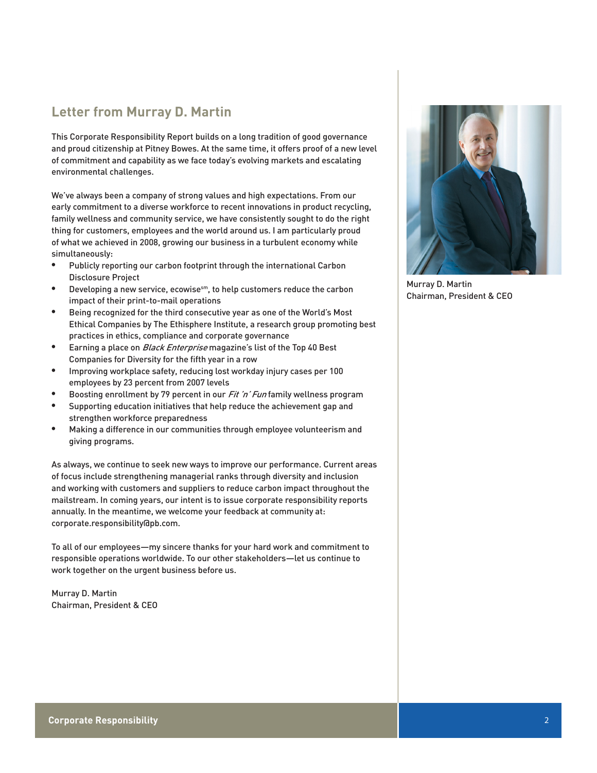# **Letter from Murray D. Martin**

This Corporate Responsibility Report builds on a long tradition of good governance and proud citizenship at Pitney Bowes. At the same time, it offers proof of a new level of commitment and capability as we face today's evolving markets and escalating environmental challenges.

We've always been a company of strong values and high expectations. From our early commitment to a diverse workforce to recent innovations in product recycling, family wellness and community service, we have consistently sought to do the right thing for customers, employees and the world around us. I am particularly proud of what we achieved in 2008, growing our business in a turbulent economy while simultaneously:

- • Publicly reporting our carbon footprint through the international Carbon Disclosure Project
- Developing a new service, ecowise<sup>sm</sup>, to help customers reduce the carbon impact of their print-to-mail operations
- • Being recognized for the third consecutive year as one of the World's Most Ethical Companies by The Ethisphere Institute, a research group promoting best practices in ethics, compliance and corporate governance
- Earning a place on *Black Enterprise* magazine's list of the Top 40 Best Companies for Diversity for the fifth year in a row
- • Improving workplace safety, reducing lost workday injury cases per 100 employees by 23 percent from 2007 levels
- Boosting enrollment by 79 percent in our *Fit 'n' Fun* family wellness program
- • Supporting education initiatives that help reduce the achievement gap and strengthen workforce preparedness
- • Making a difference in our communities through employee volunteerism and giving programs.

As always, we continue to seek new ways to improve our performance. Current areas of focus include strengthening managerial ranks through diversity and inclusion and working with customers and suppliers to reduce carbon impact throughout the mailstream. In coming years, our intent is to issue corporate responsibility reports annually. In the meantime, we welcome your feedback at community at: corporate.responsibility@pb.com.

To all of our employees—my sincere thanks for your hard work and commitment to responsible operations worldwide. To our other stakeholders—let us continue to work together on the urgent business before us.

Murray D. Martin Chairman, President & CEO



Murray D. Martin Chairman, President & CEO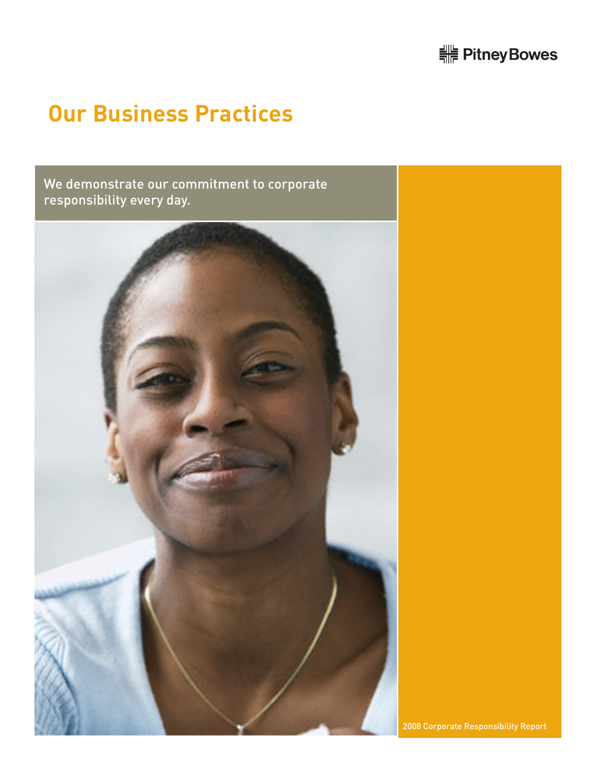# 

# **Our Business Practices**

We demonstrate our commitment to corporate responsibility every day.

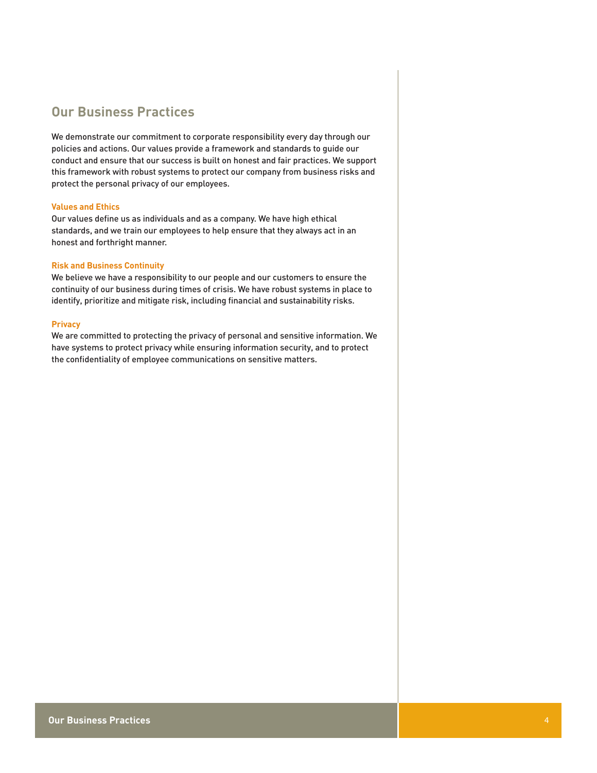# **Our Business Practices**

We demonstrate our commitment to corporate responsibility every day through our policies and actions. Our values provide a framework and standards to guide our conduct and ensure that our success is built on honest and fair practices. We support this framework with robust systems to protect our company from business risks and protect the personal privacy of our employees.

## **Values and Ethics**

Our values define us as individuals and as a company. We have high ethical standards, and we train our employees to help ensure that they always act in an honest and forthright manner.

## **Risk and Business Continuity**

We believe we have a responsibility to our people and our customers to ensure the continuity of our business during times of crisis. We have robust systems in place to identify, prioritize and mitigate risk, including financial and sustainability risks.

### **Privacy**

We are committed to protecting the privacy of personal and sensitive information. We have systems to protect privacy while ensuring information security, and to protect the confidentiality of employee communications on sensitive matters.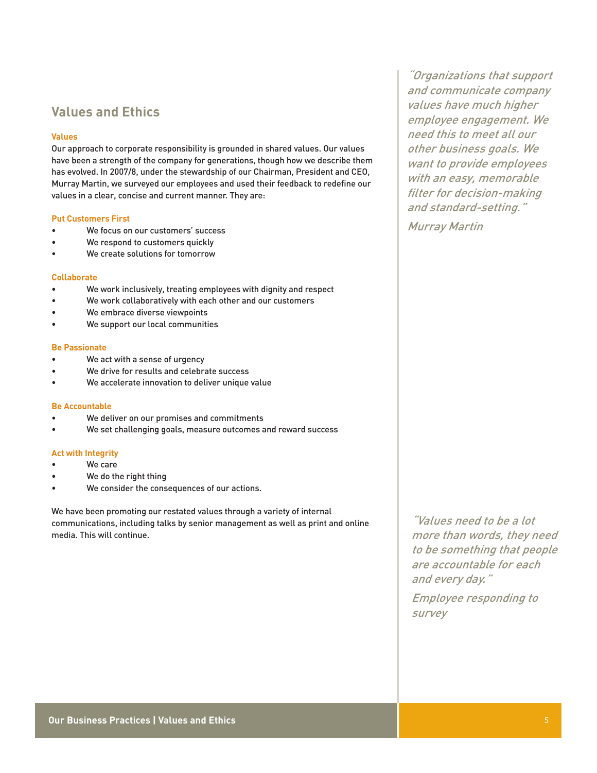## **Values and Ethics**

## **Values**

Our approach to corporate responsibility is grounded in shared values. Our values have been a strength of the company for generations, though how we describe them has evolved. In 2007/8, under the stewardship of our Chairman, President and CEO, Murray Martin, we surveyed our employees and used their feedback to redefine our values in a clear, concise and current manner. They are:

### **Put Customers First**

- We focus on our customers' success
- We respond to customers quickly
- We create solutions for tomorrow

## **Collaborate**

- We work inclusively, treating employees with dignity and respect
- We work collaboratively with each other and our customers
- We embrace diverse viewpoints
- We support our local communities

#### **Be Passionate**

- We act with a sense of urgency
- We drive for results and celebrate success
- We accelerate innovation to deliver unique value

#### **Be Accountable**

- We deliver on our promises and commitments
- We set challenging goals, measure outcomes and reward success

#### **Act with Integrity**

- We care
- We do the right thing
- We consider the consequences of our actions.

We have been promoting our restated values through a variety of internal communications, including talks by senior management as well as print and online media. This will continue.

"Organizations that support and communicate company values have much higher employee engagement. We need this to meet all our other business goals. We want to provide employees with an easy, memorable filter for decision-making and standard-setting."

Murray Martin

"Values need to be a lot more than words, they need to be something that people are accountable for each and every day."

Employee responding to survey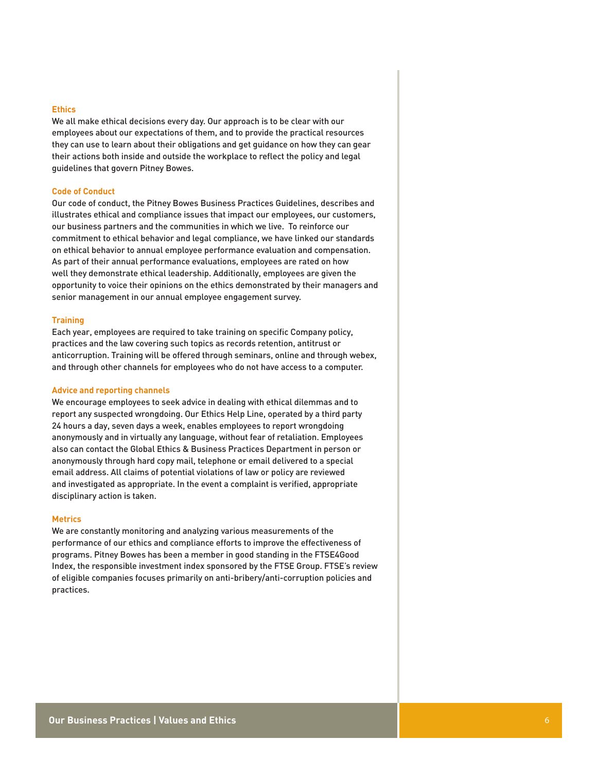#### **Ethics**

We all make ethical decisions every day. Our approach is to be clear with our employees about our expectations of them, and to provide the practical resources they can use to learn about their obligations and get guidance on how they can gear their actions both inside and outside the workplace to reflect the policy and legal guidelines that govern Pitney Bowes.

#### **Code of Conduct**

Our code of conduct, the Pitney Bowes Business Practices Guidelines, describes and illustrates ethical and compliance issues that impact our employees, our customers, our business partners and the communities in which we live. To reinforce our commitment to ethical behavior and legal compliance, we have linked our standards on ethical behavior to annual employee performance evaluation and compensation. As part of their annual performance evaluations, employees are rated on how well they demonstrate ethical leadership. Additionally, employees are given the opportunity to voice their opinions on the ethics demonstrated by their managers and senior management in our annual employee engagement survey.

### **Training**

Each year, employees are required to take training on specific Company policy, practices and the law covering such topics as records retention, antitrust or anticorruption. Training will be offered through seminars, online and through webex, and through other channels for employees who do not have access to a computer.

### **Advice and reporting channels**

We encourage employees to seek advice in dealing with ethical dilemmas and to report any suspected wrongdoing. Our Ethics Help Line, operated by a third party 24 hours a day, seven days a week, enables employees to report wrongdoing anonymously and in virtually any language, without fear of retaliation. Employees also can contact the Global Ethics & Business Practices Department in person or anonymously through hard copy mail, telephone or email delivered to a special email address. All claims of potential violations of law or policy are reviewed and investigated as appropriate. In the event a complaint is verified, appropriate disciplinary action is taken.

## **Metrics**

We are constantly monitoring and analyzing various measurements of the performance of our ethics and compliance efforts to improve the effectiveness of programs. Pitney Bowes has been a member in good standing in the FTSE4Good Index, the responsible investment index sponsored by the FTSE Group. FTSE's review of eligible companies focuses primarily on anti-bribery/anti-corruption policies and practices.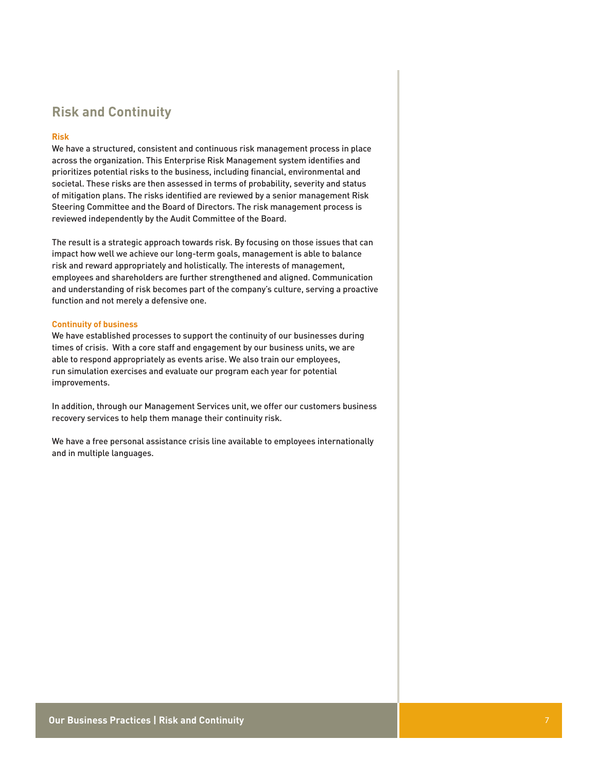## **Risk and Continuity**

## **Risk**

We have a structured, consistent and continuous risk management process in place across the organization. This Enterprise Risk Management system identifies and prioritizes potential risks to the business, including financial, environmental and societal. These risks are then assessed in terms of probability, severity and status of mitigation plans. The risks identified are reviewed by a senior management Risk Steering Committee and the Board of Directors. The risk management process is reviewed independently by the Audit Committee of the Board.

The result is a strategic approach towards risk. By focusing on those issues that can impact how well we achieve our long-term goals, management is able to balance risk and reward appropriately and holistically. The interests of management, employees and shareholders are further strengthened and aligned. Communication and understanding of risk becomes part of the company's culture, serving a proactive function and not merely a defensive one.

#### **Continuity of business**

We have established processes to support the continuity of our businesses during times of crisis. With a core staff and engagement by our business units, we are able to respond appropriately as events arise. We also train our employees, run simulation exercises and evaluate our program each year for potential improvements.

In addition, through our Management Services unit, we offer our customers business recovery services to help them manage their continuity risk.

We have a free personal assistance crisis line available to employees internationally and in multiple languages.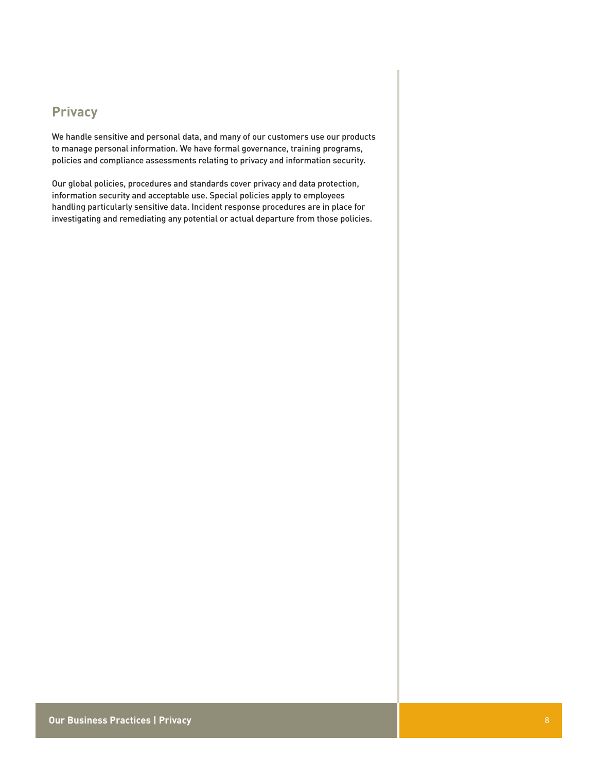# **Privacy**

We handle sensitive and personal data, and many of our customers use our products to manage personal information. We have formal governance, training programs, policies and compliance assessments relating to privacy and information security.

Our global policies, procedures and standards cover privacy and data protection, information security and acceptable use. Special policies apply to employees handling particularly sensitive data. Incident response procedures are in place for investigating and remediating any potential or actual departure from those policies.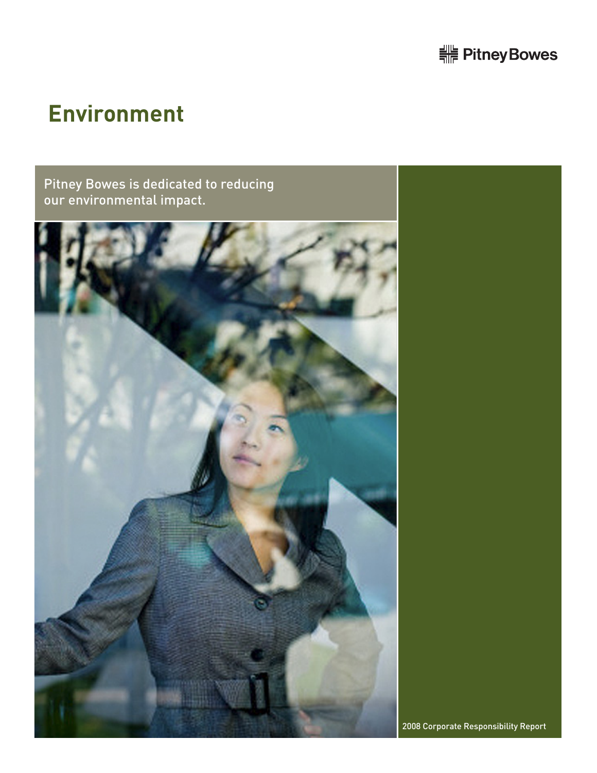# <u> <sup>-</sup> Pitney Bowes</u>

# **Environment**

# Pitney Bowes is dedicated to reducing our environmental impact.



2008 Corporate Responsibility Report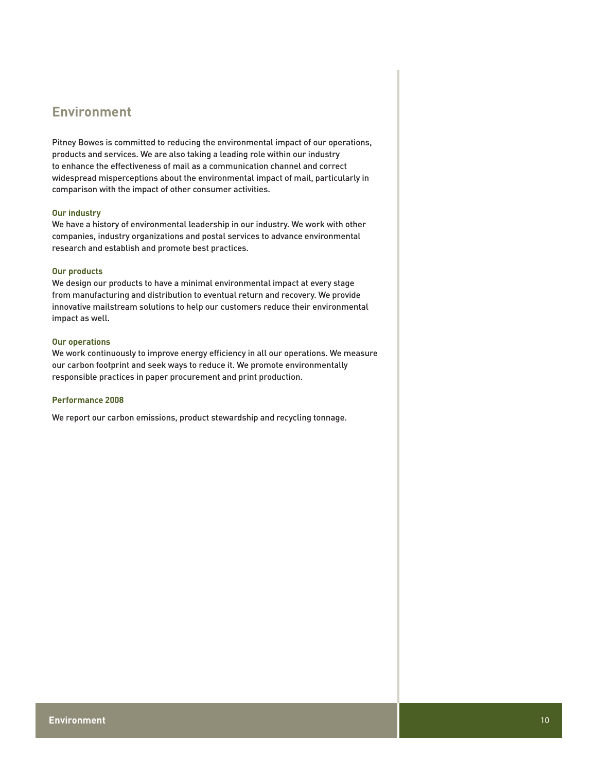# **Environment**

Pitney Bowes is committed to reducing the environmental impact of our operations, products and services. We are also taking a leading role within our industry to enhance the effectiveness of mail as a communication channel and correct widespread misperceptions about the environmental impact of mail, particularly in comparison with the impact of other consumer activities.

### **Our industry**

We have a history of environmental leadership in our industry. We work with other companies, industry organizations and postal services to advance environmental research and establish and promote best practices.

## **Our products**

We design our products to have a minimal environmental impact at every stage from manufacturing and distribution to eventual return and recovery. We provide innovative mailstream solutions to help our customers reduce their environmental impact as well.

#### **Our operations**

We work continuously to improve energy efficiency in all our operations. We measure our carbon footprint and seek ways to reduce it. We promote environmentally responsible practices in paper procurement and print production.

## **Performance 2008**

We report our carbon emissions, product stewardship and recycling tonnage.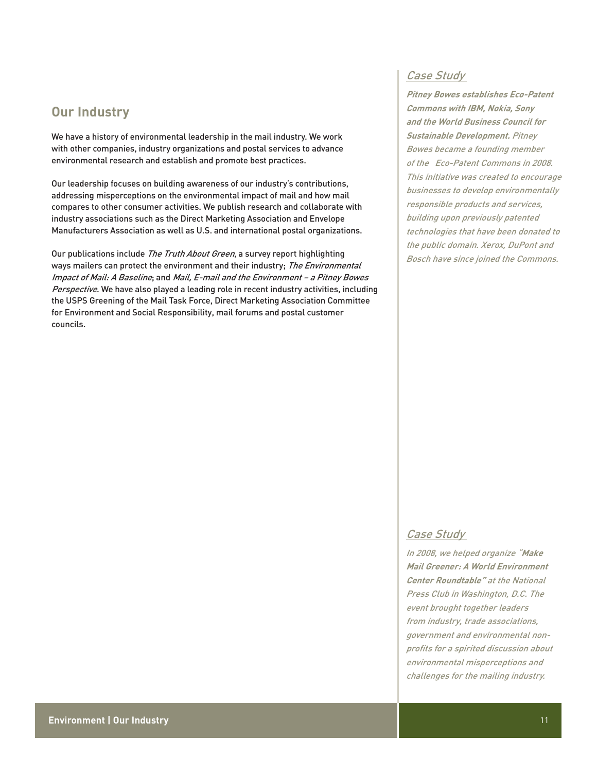## **Our Industry**

We have a history of environmental leadership in the mail industry. We work with other companies, industry organizations and postal services to advance environmental research and establish and promote best practices.

Our leadership focuses on building awareness of our industry's contributions, addressing misperceptions on the environmental impact of mail and how mail compares to other consumer activities. We publish research and collaborate with industry associations such as the Direct Marketing Association and Envelope Manufacturers Association as well as U.S. and international postal organizations.

Our publications include The Truth About Green, a survey report highlighting ways mailers can protect the environment and their industry; The Environmental Impact of Mail: A Baseline; and Mail, E-mail and the Environment – a Pitney Bowes Perspective. We have also played a leading role in recent industry activities, including the USPS Greening of the Mail Task Force, Direct Marketing Association Committee for Environment and Social Responsibility, mail forums and postal customer councils.

## Case Study

**Pitney Bowes establishes Eco-Patent Commons with IBM, Nokia, Sony and the World Business Council for Sustainable Development.** Pitney Bowes became a founding member of the Eco-Patent Commons in 2008. This initiative was created to encourage businesses to develop environmentally responsible products and services, building upon previously patented technologies that have been donated to the public domain. Xerox, DuPont and Bosch have since joined the Commons.

## Case Study

In 2008, we helped organize "**Make Mail Greener: A World Environment Center Roundtable"** at the National Press Club in Washington, D.C. The event brought together leaders from industry, trade associations, government and environmental nonprofits for a spirited discussion about environmental misperceptions and challenges for the mailing industry.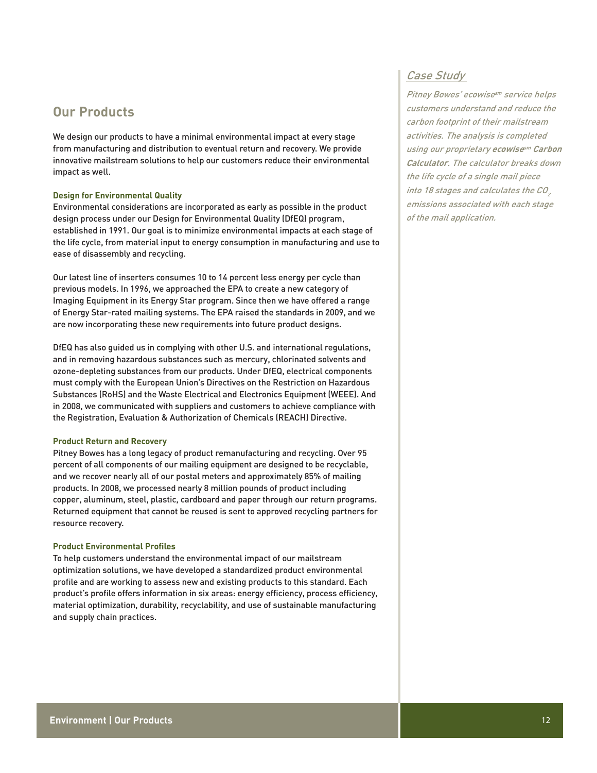## **Our Products**

We design our products to have a minimal environmental impact at every stage from manufacturing and distribution to eventual return and recovery. We provide innovative mailstream solutions to help our customers reduce their environmental impact as well.

## **Design for Environmental Quality**

Environmental considerations are incorporated as early as possible in the product design process under our Design for Environmental Quality (DfEQ) program, established in 1991. Our goal is to minimize environmental impacts at each stage of the life cycle, from material input to energy consumption in manufacturing and use to ease of disassembly and recycling.

Our latest line of inserters consumes 10 to 14 percent less energy per cycle than previous models. In 1996, we approached the EPA to create a new category of Imaging Equipment in its Energy Star program. Since then we have offered a range of Energy Star-rated mailing systems. The EPA raised the standards in 2009, and we are now incorporating these new requirements into future product designs.

DfEQ has also guided us in complying with other U.S. and international regulations, and in removing hazardous substances such as mercury, chlorinated solvents and ozone-depleting substances from our products. Under DfEQ, electrical components must comply with the European Union's Directives on the Restriction on Hazardous Substances (RoHS) and the Waste Electrical and Electronics Equipment (WEEE). And in 2008, we communicated with suppliers and customers to achieve compliance with the Registration, Evaluation & Authorization of Chemicals (REACH) Directive.

### **Product Return and Recovery**

Pitney Bowes has a long legacy of product remanufacturing and recycling. Over 95 percent of all components of our mailing equipment are designed to be recyclable, and we recover nearly all of our postal meters and approximately 85% of mailing products. In 2008, we processed nearly 8 million pounds of product including copper, aluminum, steel, plastic, cardboard and paper through our return programs. Returned equipment that cannot be reused is sent to approved recycling partners for resource recovery.

## **Product Environmental Profiles**

To help customers understand the environmental impact of our mailstream optimization solutions, we have developed a standardized product environmental profile and are working to assess new and existing products to this standard. Each product's profile offers information in six areas: energy efficiency, process efficiency, material optimization, durability, recyclability, and use of sustainable manufacturing and supply chain practices.

## Case Study

Pitney Bowes' ecowise<sup>sm</sup> service helps customers understand and reduce the carbon footprint of their mailstream activities. The analysis is completed using our proprietary **ecowisesm Carbon Calculator**. The calculator breaks down the life cycle of a single mail piece into 18 stages and calculates the  $CO<sub>2</sub>$ emissions associated with each stage of the mail application.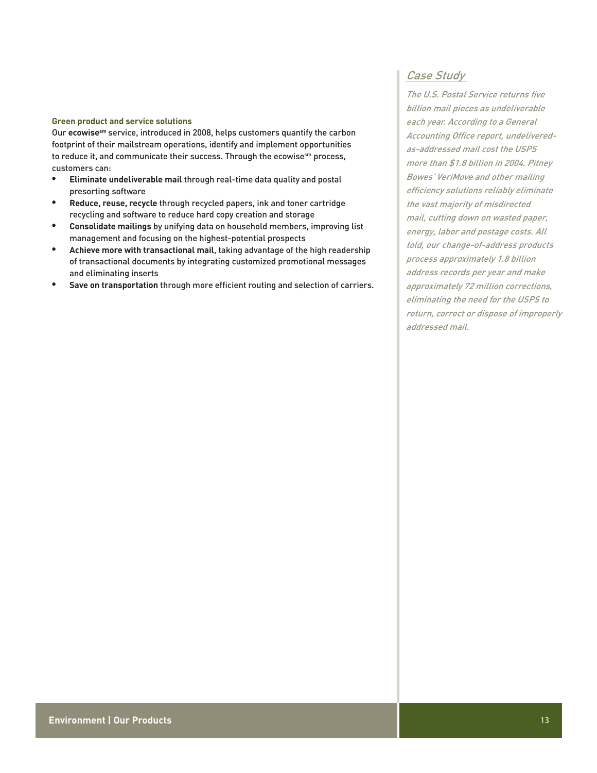### **Green product and service solutions**

Our **ecowisesm** service, introduced in 2008, helps customers quantify the carbon footprint of their mailstream operations, identify and implement opportunities to reduce it, and communicate their success. Through the ecowisesm process, customers can:

- **Eliminate undeliverable mail** through real-time data quality and postal presorting software
- **Reduce, reuse, recycle** through recycled papers, ink and toner cartridge recycling and software to reduce hard copy creation and storage
- **• Consolidate mailings** by unifying data on household members, improving list management and focusing on the highest-potential prospects
- **• Achieve more with transactional mail**, taking advantage of the high readership of transactional documents by integrating customized promotional messages and eliminating inserts
- **Save on transportation** through more efficient routing and selection of carriers.

## Case Study

The U.S. Postal Service returns five billion mail pieces as undeliverable each year. According to a General Accounting Office report, undeliveredas-addressed mail cost the USPS more than \$1.8 billion in 2004. Pitney Bowes' VeriMove and other mailing efficiency solutions reliably eliminate the vast majority of misdirected mail, cutting down on wasted paper, energy, labor and postage costs. All told, our change-of-address products process approximately 1.8 billion address records per year and make approximately 72 million corrections, eliminating the need for the USPS to return, correct or dispose of improperly addressed mail.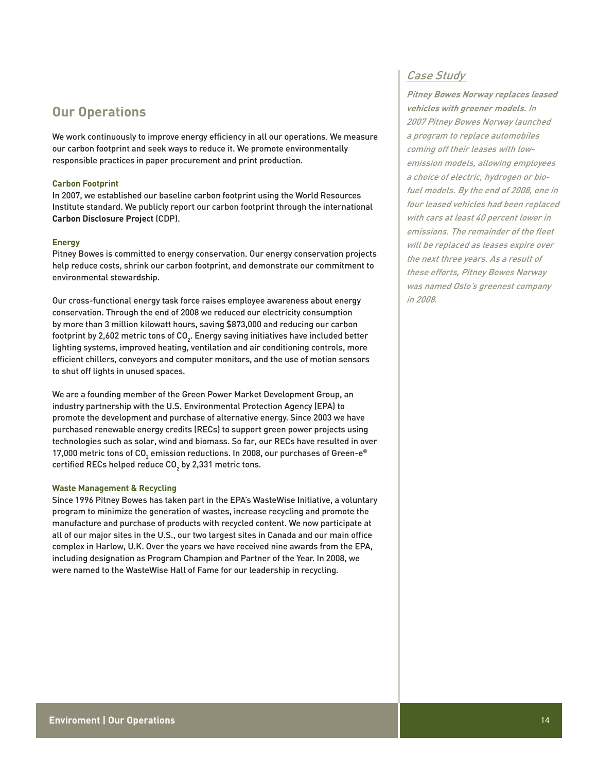## **Our Operations**

We work continuously to improve energy efficiency in all our operations. We measure our carbon footprint and seek ways to reduce it. We promote environmentally responsible practices in paper procurement and print production.

## **Carbon Footprint**

In 2007, we established our baseline carbon footprint using the World Resources Institute standard. We publicly report our carbon footprint through the international **Carbon Disclosure Project** (CDP).

## **Energy**

Pitney Bowes is committed to energy conservation. Our energy conservation projects help reduce costs, shrink our carbon footprint, and demonstrate our commitment to environmental stewardship.

Our cross-functional energy task force raises employee awareness about energy conservation. Through the end of 2008 we reduced our electricity consumption by more than 3 million kilowatt hours, saving \$873,000 and reducing our carbon footprint by 2,602 metric tons of CO $_{\textrm{\tiny{2}}}$ . Energy saving initiatives have included better lighting systems, improved heating, ventilation and air conditioning controls, more efficient chillers, conveyors and computer monitors, and the use of motion sensors to shut off lights in unused spaces.

We are a founding member of the Green Power Market Development Group, an industry partnership with the U.S. Environmental Protection Agency (EPA) to promote the development and purchase of alternative energy. Since 2003 we have purchased renewable energy credits (RECs) to support green power projects using technologies such as solar, wind and biomass. So far, our RECs have resulted in over 17,000 metric tons of CO $_{_2}$  emission reductions. In 2008, our purchases of Green-e® certified RECs helped reduce CO $_{\textrm{\tiny{2}}}$  by 2,331 metric tons.

### **Waste Management & Recycling**

Since 1996 Pitney Bowes has taken part in the EPA's WasteWise Initiative, a voluntary program to minimize the generation of wastes, increase recycling and promote the manufacture and purchase of products with recycled content. We now participate at all of our major sites in the U.S., our two largest sites in Canada and our main office complex in Harlow, U.K. Over the years we have received nine awards from the EPA, including designation as Program Champion and Partner of the Year. In 2008, we were named to the WasteWise Hall of Fame for our leadership in recycling.

## Case Study

**Pitney Bowes Norway replaces leased vehicles with greener models.** In 2007 Pitney Bowes Norway launched a program to replace automobiles coming off their leases with lowemission models, allowing employees a choice of electric, hydrogen or biofuel models. By the end of 2008, one in four leased vehicles had been replaced with cars at least 40 percent lower in emissions. The remainder of the fleet will be replaced as leases expire over the next three years. As a result of these efforts, Pitney Bowes Norway was named Oslo's greenest company in 2008.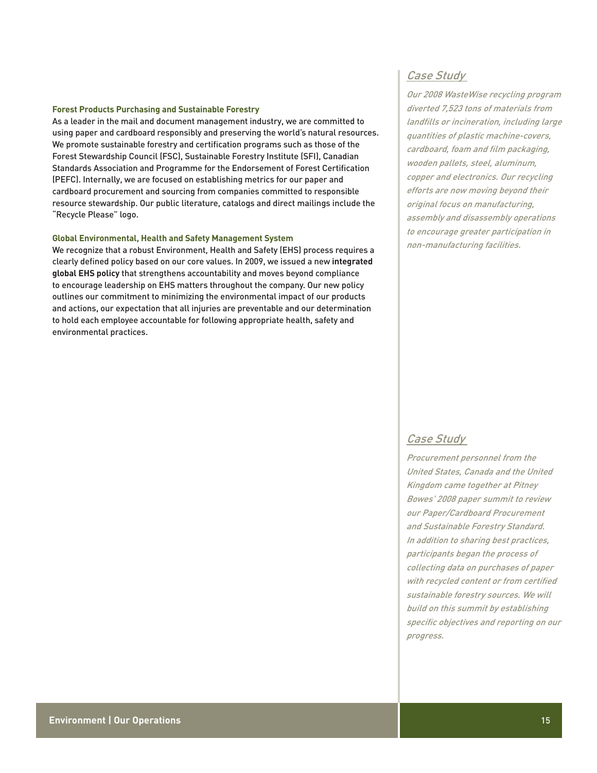### **Forest Products Purchasing and Sustainable Forestry**

As a leader in the mail and document management industry, we are committed to using paper and cardboard responsibly and preserving the world's natural resources. We promote sustainable forestry and certification programs such as those of the Forest Stewardship Council (FSC), Sustainable Forestry Institute (SFI), Canadian Standards Association and Programme for the Endorsement of Forest Certification (PEFC). Internally, we are focused on establishing metrics for our paper and cardboard procurement and sourcing from companies committed to responsible resource stewardship. Our public literature, catalogs and direct mailings include the "Recycle Please" logo.

## **Global Environmental, Health and Safety Management System**

We recognize that a robust Environment, Health and Safety (EHS) process requires a clearly defined policy based on our core values. In 2009, we issued a new **integrated global EHS policy** that strengthens accountability and moves beyond compliance to encourage leadership on EHS matters throughout the company. Our new policy outlines our commitment to minimizing the environmental impact of our products and actions, our expectation that all injuries are preventable and our determination to hold each employee accountable for following appropriate health, safety and environmental practices.

## Case Study

Our 2008 WasteWise recycling program diverted 7,523 tons of materials from landfills or incineration, including large quantities of plastic machine-covers, cardboard, foam and film packaging, wooden pallets, steel, aluminum, copper and electronics. Our recycling efforts are now moving beyond their original focus on manufacturing, assembly and disassembly operations to encourage greater participation in non-manufacturing facilities.

## Case Study

Procurement personnel from the United States, Canada and the United Kingdom came together at Pitney Bowes' 2008 paper summit to review our Paper/Cardboard Procurement and Sustainable Forestry Standard. In addition to sharing best practices, participants began the process of collecting data on purchases of paper with recycled content or from certified sustainable forestry sources. We will build on this summit by establishing specific objectives and reporting on our progress.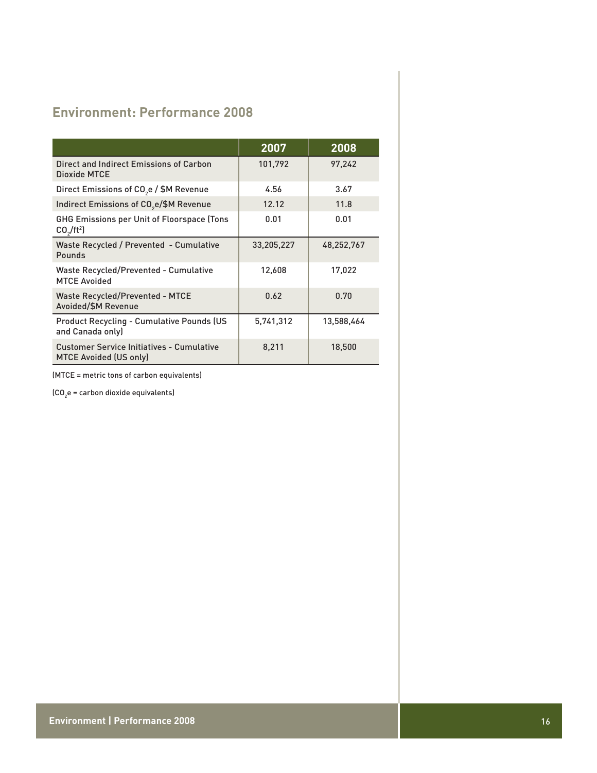# **Environment: Performance 2008**

|                                                                                       | 2007       | 2008       |
|---------------------------------------------------------------------------------------|------------|------------|
| Direct and Indirect Emissions of Carbon<br>Dioxide MTCE                               | 101,792    | 97,242     |
| Direct Emissions of CO <sub>2</sub> e / \$M Revenue                                   | 4.56       | 3.67       |
| Indirect Emissions of CO <sub>2</sub> e/\$M Revenue                                   | 12.12      | 11.8       |
| <b>GHG Emissions per Unit of Floorspace (Tons</b><br>CO <sub>2</sub> /ft <sup>2</sup> | 0.01       | 0.01       |
| Waste Recycled / Prevented - Cumulative<br>Pounds                                     | 33,205,227 | 48,252,767 |
| Waste Recycled/Prevented - Cumulative<br><b>MTCE Avoided</b>                          | 12,608     | 17,022     |
| <b>Waste Recycled/Prevented - MTCE</b><br>Avoided/\$M Revenue                         | 0.62       | 0.70       |
| <b>Product Recycling - Cumulative Pounds (US)</b><br>and Canada only)                 | 5,741,312  | 13,588,464 |
| <b>Customer Service Initiatives - Cumulative</b><br><b>MTCE Avoided (US only)</b>     | 8,211      | 18,500     |

(MTCE = metric tons of carbon equivalents)

 $\textsf{[CO}_{2}\textsf{e} = \textsf{carbon}$  dioxide equivalents)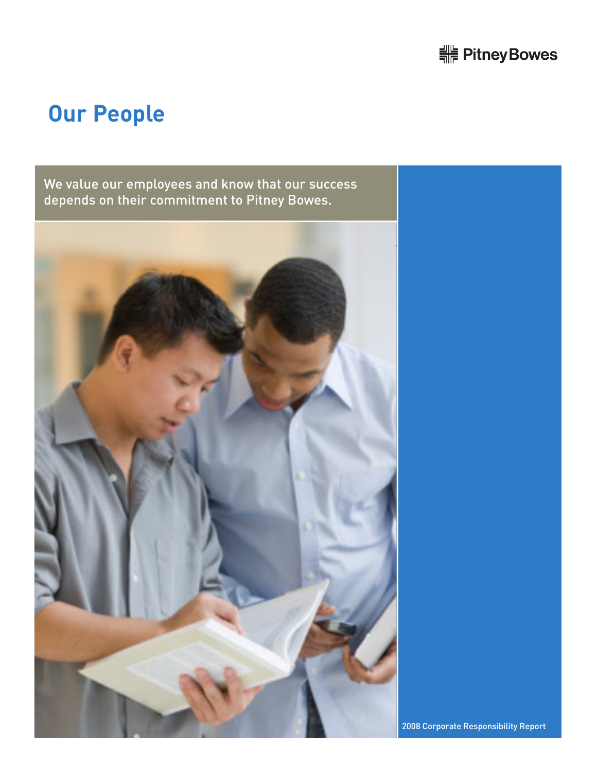![](_page_16_Picture_0.jpeg)

# **Our People**

We value our employees and know that our success depends on their commitment to Pitney Bowes.

![](_page_16_Picture_3.jpeg)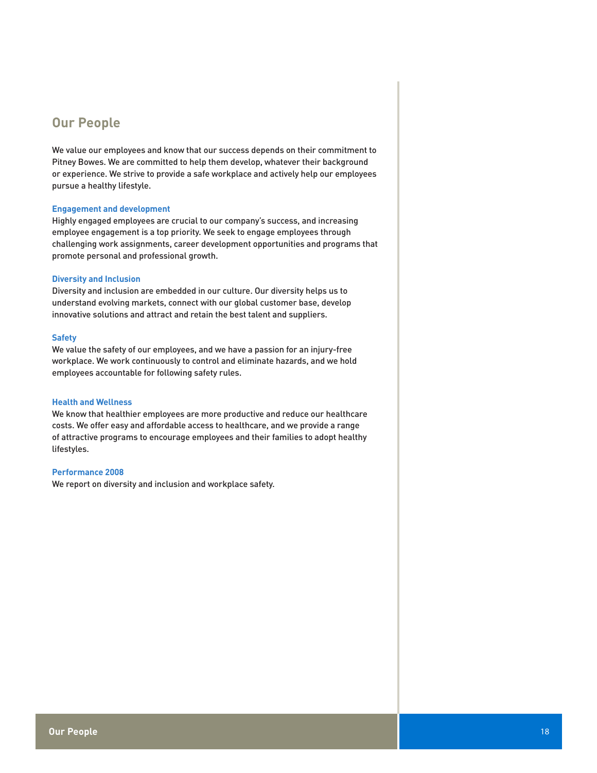## **Our People**

We value our employees and know that our success depends on their commitment to Pitney Bowes. We are committed to help them develop, whatever their background or experience. We strive to provide a safe workplace and actively help our employees pursue a healthy lifestyle.

## **Engagement and development**

Highly engaged employees are crucial to our company's success, and increasing employee engagement is a top priority. We seek to engage employees through challenging work assignments, career development opportunities and programs that promote personal and professional growth.

## **Diversity and Inclusion**

Diversity and inclusion are embedded in our culture. Our diversity helps us to understand evolving markets, connect with our global customer base, develop innovative solutions and attract and retain the best talent and suppliers.

## **Safety**

We value the safety of our employees, and we have a passion for an injury-free workplace. We work continuously to control and eliminate hazards, and we hold employees accountable for following safety rules.

## **Health and Wellness**

We know that healthier employees are more productive and reduce our healthcare costs. We offer easy and affordable access to healthcare, and we provide a range of attractive programs to encourage employees and their families to adopt healthy lifestyles.

## **Performance 2008**

We report on diversity and inclusion and workplace safety.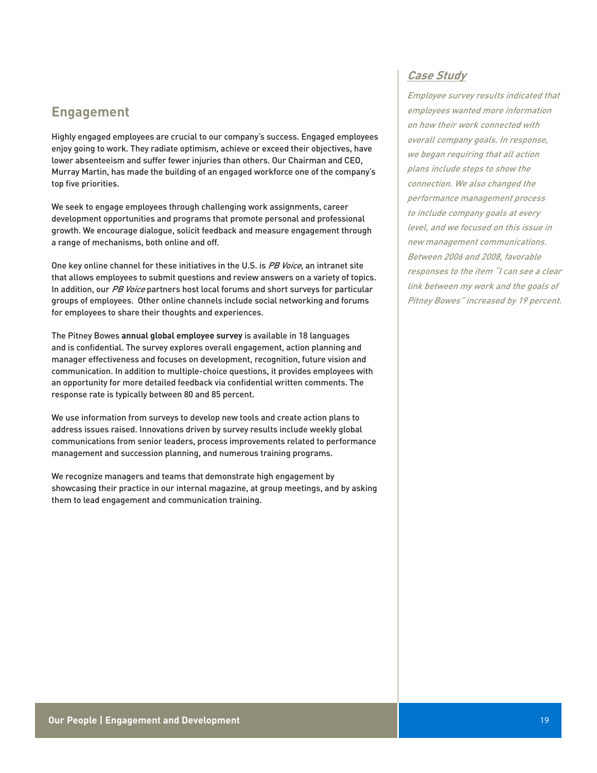## **Engagement**

Highly engaged employees are crucial to our company's success. Engaged employees enjoy going to work. They radiate optimism, achieve or exceed their objectives, have lower absenteeism and suffer fewer injuries than others. Our Chairman and CEO, Murray Martin, has made the building of an engaged workforce one of the company's top five priorities.

We seek to engage employees through challenging work assignments, career development opportunities and programs that promote personal and professional growth. We encourage dialogue, solicit feedback and measure engagement through a range of mechanisms, both online and off.

One key online channel for these initiatives in the U.S. is *PB Voice*, an intranet site that allows employees to submit questions and review answers on a variety of topics. In addition, our PB Voice partners host local forums and short surveys for particular groups of employees. Other online channels include social networking and forums for employees to share their thoughts and experiences.

The Pitney Bowes **annual global employee survey** is available in 18 languages and is confidential. The survey explores overall engagement, action planning and manager effectiveness and focuses on development, recognition, future vision and communication. In addition to multiple-choice questions, it provides employees with an opportunity for more detailed feedback via confidential written comments. The response rate is typically between 80 and 85 percent.

We use information from surveys to develop new tools and create action plans to address issues raised. Innovations driven by survey results include weekly global communications from senior leaders, process improvements related to performance management and succession planning, and numerous training programs.

We recognize managers and teams that demonstrate high engagement by showcasing their practice in our internal magazine, at group meetings, and by asking them to lead engagement and communication training.

## **Case Study**

Employee survey results indicated that employees wanted more information on how their work connected with overall company goals. In response, we began requiring that all action plans include steps to show the connection. We also changed the performance management process to include company goals at every level, and we focused on this issue in new management communications. Between 2006 and 2008, favorable responses to the item "I can see a clear link between my work and the goals of Pitney Bowes" increased by 19 percent.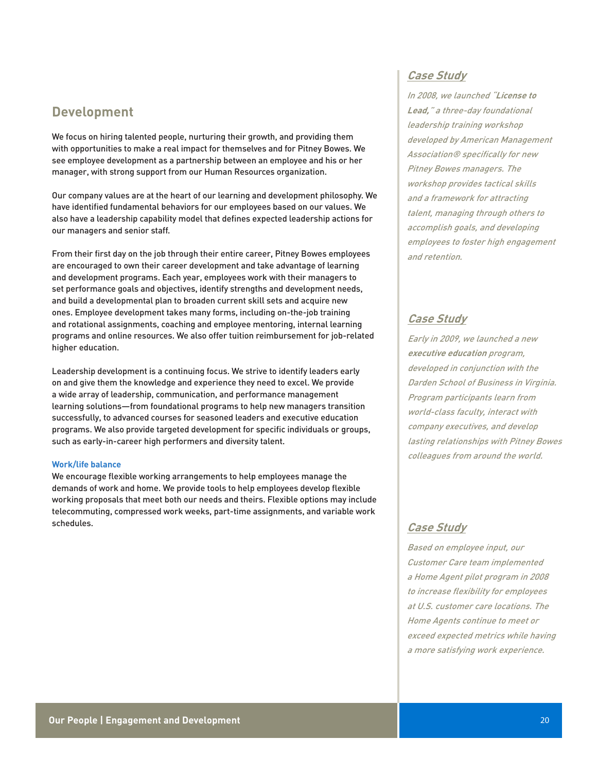## **Development**

We focus on hiring talented people, nurturing their growth, and providing them with opportunities to make a real impact for themselves and for Pitney Bowes. We see employee development as a partnership between an employee and his or her manager, with strong support from our Human Resources organization.

Our company values are at the heart of our learning and development philosophy. We have identified fundamental behaviors for our employees based on our values. We also have a leadership capability model that defines expected leadership actions for our managers and senior staff.

From their first day on the job through their entire career, Pitney Bowes employees are encouraged to own their career development and take advantage of learning and development programs. Each year, employees work with their managers to set performance goals and objectives, identify strengths and development needs, and build a developmental plan to broaden current skill sets and acquire new ones. Employee development takes many forms, including on-the-job training and rotational assignments, coaching and employee mentoring, internal learning programs and online resources. We also offer tuition reimbursement for job-related higher education.

Leadership development is a continuing focus. We strive to identify leaders early on and give them the knowledge and experience they need to excel. We provide a wide array of leadership, communication, and performance management learning solutions—from foundational programs to help new managers transition successfully, to advanced courses for seasoned leaders and executive education programs. We also provide targeted development for specific individuals or groups, such as early-in-career high performers and diversity talent.

### **Work/life balance**

We encourage flexible working arrangements to help employees manage the demands of work and home. We provide tools to help employees develop flexible working proposals that meet both our needs and theirs. Flexible options may include telecommuting, compressed work weeks, part-time assignments, and variable work schedules.

## **Case Study**

In 2008, we launched "**License to Lead,**" a three-day foundational leadership training workshop developed by American Management Association® specifically for new Pitney Bowes managers. The workshop provides tactical skills and a framework for attracting talent, managing through others to accomplish goals, and developing employees to foster high engagement and retention.

## **Case Study**

Early in 2009, we launched a new **executive education** program, developed in conjunction with the Darden School of Business in Virginia. Program participants learn from world-class faculty, interact with company executives, and develop lasting relationships with Pitney Bowes colleagues from around the world.

## **Case Study**

Based on employee input, our Customer Care team implemented a Home Agent pilot program in 2008 to increase flexibility for employees at U.S. customer care locations. The Home Agents continue to meet or exceed expected metrics while having a more satisfying work experience.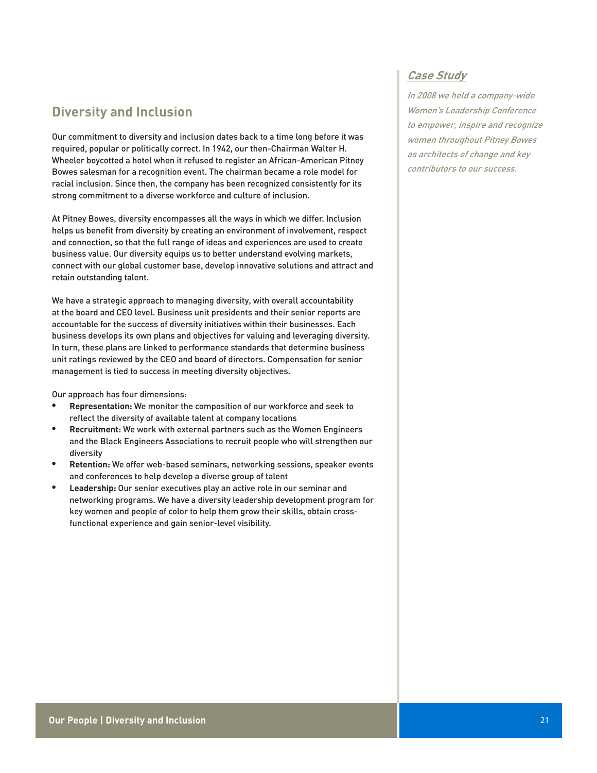# **Diversity and Inclusion**

Our commitment to diversity and inclusion dates back to a time long before it was required, popular or politically correct. In 1942, our then-Chairman Walter H. Wheeler boycotted a hotel when it refused to register an African-American Pitney Bowes salesman for a recognition event. The chairman became a role model for racial inclusion. Since then, the company has been recognized consistently for its strong commitment to a diverse workforce and culture of inclusion.

At Pitney Bowes, diversity encompasses all the ways in which we differ. Inclusion helps us benefit from diversity by creating an environment of involvement, respect and connection, so that the full range of ideas and experiences are used to create business value. Our diversity equips us to better understand evolving markets, connect with our global customer base, develop innovative solutions and attract and retain outstanding talent.

We have a strategic approach to managing diversity, with overall accountability at the board and CEO level. Business unit presidents and their senior reports are accountable for the success of diversity initiatives within their businesses. Each business develops its own plans and objectives for valuing and leveraging diversity. In turn, these plans are linked to performance standards that determine business unit ratings reviewed by the CEO and board of directors. Compensation for senior management is tied to success in meeting diversity objectives.

Our approach has four dimensions:

- **Representation:** We monitor the composition of our workforce and seek to reflect the diversity of available talent at company locations
- **• Recruitment:** We work with external partners such as the Women Engineers and the Black Engineers Associations to recruit people who will strengthen our diversity
- **Retention:** We offer web-based seminars, networking sessions, speaker events and conferences to help develop a diverse group of talent
- Leadership: Our senior executives play an active role in our seminar and networking programs. We have a diversity leadership development program for key women and people of color to help them grow their skills, obtain crossfunctional experience and gain senior-level visibility.

## **Case Study**

In 2008 we held a company-wide Women's Leadership Conference to empower, inspire and recognize women throughout Pitney Bowes as architects of change and key contributors to our success.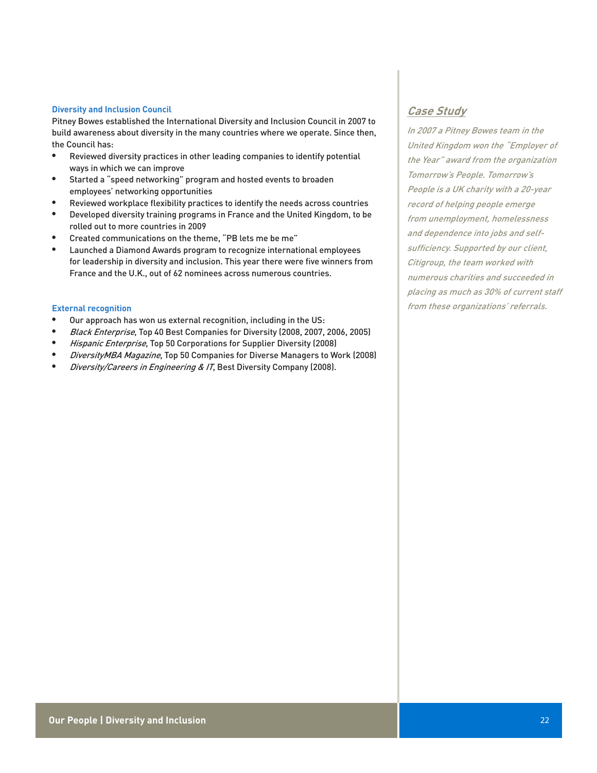### **Diversity and Inclusion Council**

Pitney Bowes established the International Diversity and Inclusion Council in 2007 to build awareness about diversity in the many countries where we operate. Since then, the Council has:

- • Reviewed diversity practices in other leading companies to identify potential ways in which we can improve
- Started a "speed networking" program and hosted events to broaden employees' networking opportunities
- Reviewed workplace flexibility practices to identify the needs across countries
- Developed diversity training programs in France and the United Kingdom, to be rolled out to more countries in 2009
- Created communications on the theme, "PB lets me be me"
- Launched a Diamond Awards program to recognize international employees for leadership in diversity and inclusion. This year there were five winners from France and the U.K., out of 62 nominees across numerous countries.

## **External recognition**

- Our approach has won us external recognition, including in the US:
- Black Enterprise, Top 40 Best Companies for Diversity (2008, 2007, 2006, 2005)
- Hispanic Enterprise, Top 50 Corporations for Supplier Diversity (2008)
- DiversityMBA Magazine, Top 50 Companies for Diverse Managers to Work (2008)
- Diversity/Careers in Engineering & IT, Best Diversity Company (2008).

## **Case Study**

In 2007 a Pitney Bowes team in the United Kingdom won the "Employer of the Year" award from the organization Tomorrow's People. Tomorrow's People is a UK charity with a 20-year record of helping people emerge from unemployment, homelessness and dependence into jobs and selfsufficiency. Supported by our client, Citigroup, the team worked with numerous charities and succeeded in placing as much as 30% of current staff from these organizations' referrals.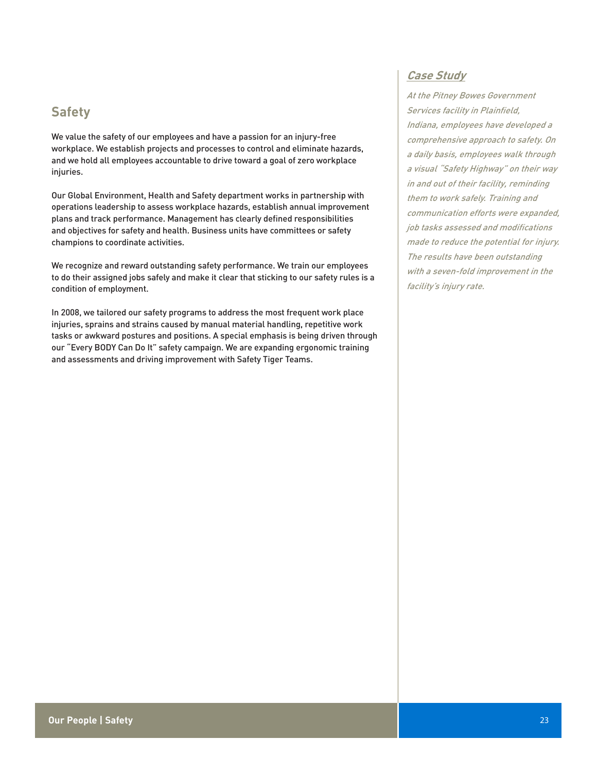# **Safety**

We value the safety of our employees and have a passion for an injury-free workplace. We establish projects and processes to control and eliminate hazards, and we hold all employees accountable to drive toward a goal of zero workplace injuries.

Our Global Environment, Health and Safety department works in partnership with operations leadership to assess workplace hazards, establish annual improvement plans and track performance. Management has clearly defined responsibilities and objectives for safety and health. Business units have committees or safety champions to coordinate activities.

We recognize and reward outstanding safety performance. We train our employees to do their assigned jobs safely and make it clear that sticking to our safety rules is a condition of employment.

In 2008, we tailored our safety programs to address the most frequent work place injuries, sprains and strains caused by manual material handling, repetitive work tasks or awkward postures and positions. A special emphasis is being driven through our "Every BODY Can Do It" safety campaign. We are expanding ergonomic training and assessments and driving improvement with Safety Tiger Teams.

## **Case Study**

At the Pitney Bowes Government Services facility in Plainfield, Indiana, employees have developed a comprehensive approach to safety. On a daily basis, employees walk through a visual "Safety Highway" on their way in and out of their facility, reminding them to work safely. Training and communication efforts were expanded, job tasks assessed and modifications made to reduce the potential for injury. The results have been outstanding with a seven-fold improvement in the facility's injury rate.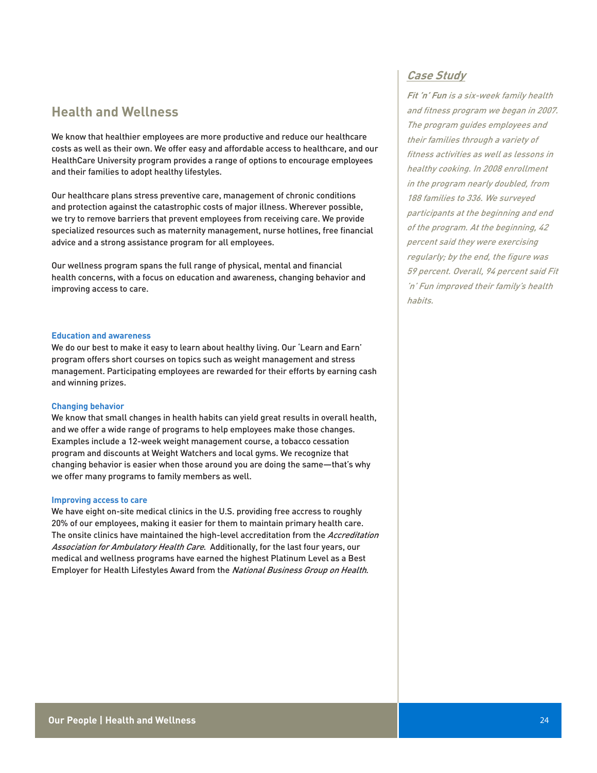## **Health and Wellness**

We know that healthier employees are more productive and reduce our healthcare costs as well as their own. We offer easy and affordable access to healthcare, and our HealthCare University program provides a range of options to encourage employees and their families to adopt healthy lifestyles.

Our healthcare plans stress preventive care, management of chronic conditions and protection against the catastrophic costs of major illness. Wherever possible, we try to remove barriers that prevent employees from receiving care. We provide specialized resources such as maternity management, nurse hotlines, free financial advice and a strong assistance program for all employees.

Our wellness program spans the full range of physical, mental and financial health concerns, with a focus on education and awareness, changing behavior and improving access to care.

### **Education and awareness**

We do our best to make it easy to learn about healthy living. Our 'Learn and Earn' program offers short courses on topics such as weight management and stress management. Participating employees are rewarded for their efforts by earning cash and winning prizes.

### **Changing behavior**

We know that small changes in health habits can yield great results in overall health, and we offer a wide range of programs to help employees make those changes. Examples include a 12-week weight management course, a tobacco cessation program and discounts at Weight Watchers and local gyms. We recognize that changing behavior is easier when those around you are doing the same—that's why we offer many programs to family members as well.

### **Improving access to care**

We have eight on-site medical clinics in the U.S. providing free accress to roughly 20% of our employees, making it easier for them to maintain primary health care. The onsite clinics have maintained the high-level accreditation from the Accreditation Association for Ambulatory Health Care. Additionally, for the last four years, our medical and wellness programs have earned the highest Platinum Level as a Best Employer for Health Lifestyles Award from the National Business Group on Health.

## **Case Study**

**Fit 'n' Fun** is a six-week family health and fitness program we began in 2007. The program guides employees and their families through a variety of fitness activities as well as lessons in healthy cooking. In 2008 enrollment in the program nearly doubled, from 188 families to 336. We surveyed participants at the beginning and end of the program. At the beginning, 42 percent said they were exercising regularly; by the end, the figure was 59 percent. Overall, 94 percent said Fit 'n' Fun improved their family's health habits.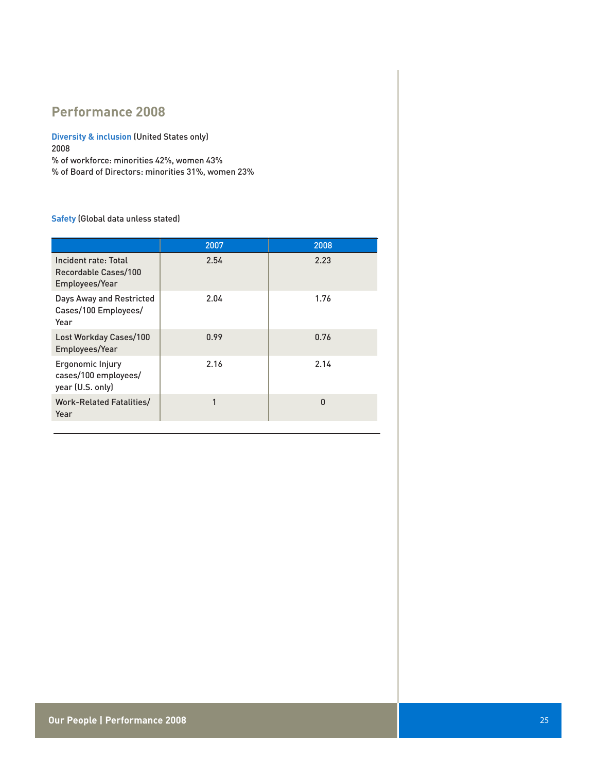# **Performance 2008**

**Diversity & inclusion** (United States only) 2008 % of workforce: minorities 42%, women 43%

% of Board of Directors: minorities 31%, women 23%

## **Safety** (Global data unless stated)

|                                                                | 2007 | 2008         |
|----------------------------------------------------------------|------|--------------|
| Incident rate: Total<br>Recordable Cases/100<br>Employees/Year | 2.54 | 2.23         |
| Days Away and Restricted<br>Cases/100 Employees/<br>Year       | 2.04 | 1.76         |
| <b>Lost Workday Cases/100</b><br>Employees/Year                | 0.99 | 0.76         |
| Ergonomic Injury<br>cases/100 employees/<br>year (U.S. only)   | 2.16 | 2.14         |
| <b>Work-Related Fatalities/</b><br>Year                        | 1    | $\mathbf{0}$ |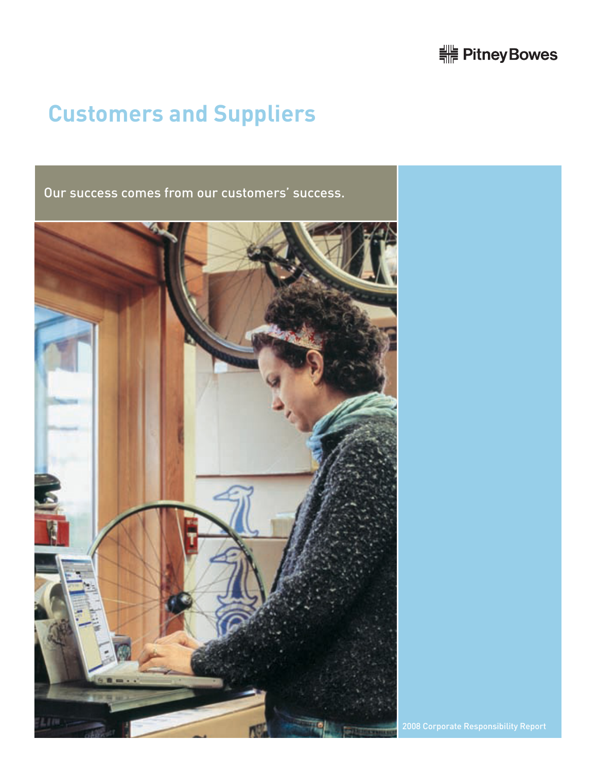# 

# **Customers and Suppliers**

Our success comes from our customers' success.

![](_page_25_Picture_3.jpeg)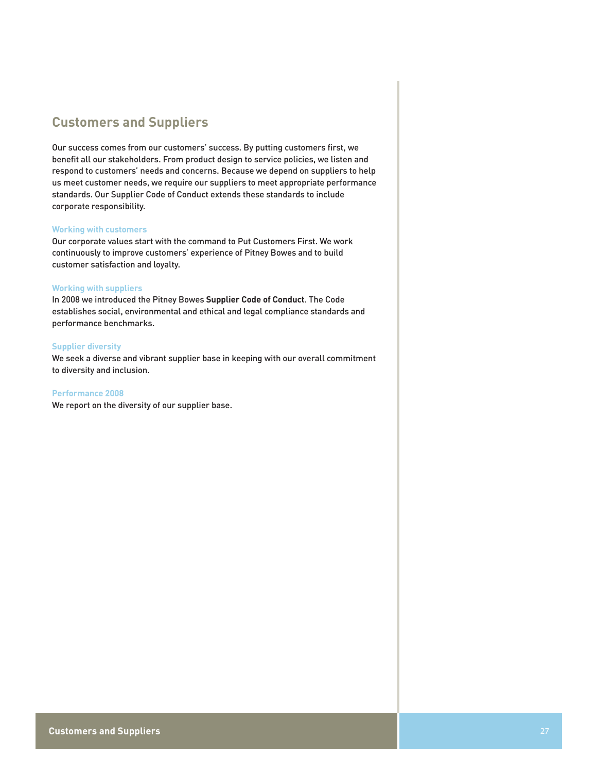# **Customers and Suppliers**

Our success comes from our customers' success. By putting customers first, we benefit all our stakeholders. From product design to service policies, we listen and respond to customers' needs and concerns. Because we depend on suppliers to help us meet customer needs, we require our suppliers to meet appropriate performance standards. Our Supplier Code of Conduct extends these standards to include corporate responsibility.

### **Working with customers**

Our corporate values start with the command to Put Customers First. We work continuously to improve customers' experience of Pitney Bowes and to build customer satisfaction and loyalty.

#### **Working with suppliers**

In 2008 we introduced the Pitney Bowes **Supplier Code of Conduct**. The Code establishes social, environmental and ethical and legal compliance standards and performance benchmarks.

#### **Supplier diversity**

We seek a diverse and vibrant supplier base in keeping with our overall commitment to diversity and inclusion.

**Performance 2008**

We report on the diversity of our supplier base.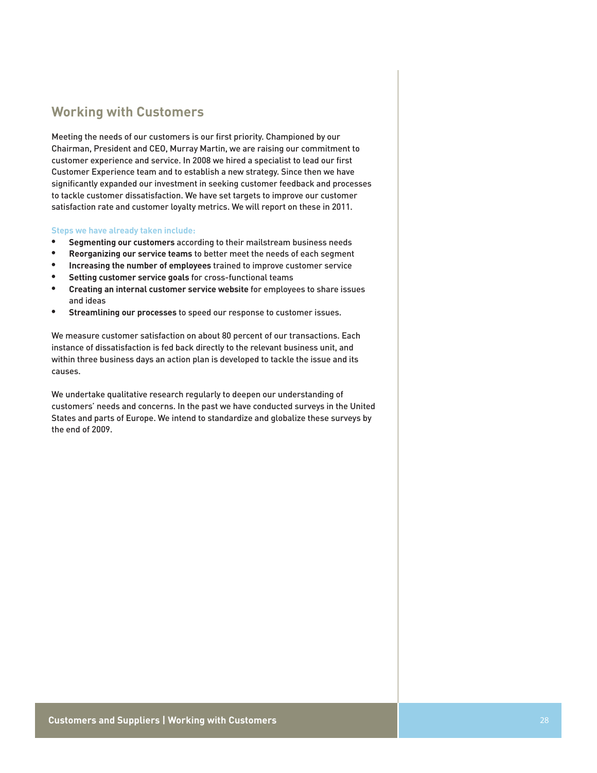## **Working with Customers**

Meeting the needs of our customers is our first priority. Championed by our Chairman, President and CEO, Murray Martin, we are raising our commitment to customer experience and service. In 2008 we hired a specialist to lead our first Customer Experience team and to establish a new strategy. Since then we have significantly expanded our investment in seeking customer feedback and processes to tackle customer dissatisfaction. We have set targets to improve our customer satisfaction rate and customer loyalty metrics. We will report on these in 2011.

## **Steps we have already taken include:**

- **• Segmenting our customers** according to their mailstream business needs
- **• Reorganizing our service teams** to better meet the needs of each segment
- **Increasing the number of employees** trained to improve customer service
- **Setting customer service goals for cross-functional teams**
- Creating an internal customer service website for employees to share issues and ideas
- **Streamlining our processes** to speed our response to customer issues.

We measure customer satisfaction on about 80 percent of our transactions. Each instance of dissatisfaction is fed back directly to the relevant business unit, and within three business days an action plan is developed to tackle the issue and its causes.

We undertake qualitative research regularly to deepen our understanding of customers' needs and concerns. In the past we have conducted surveys in the United States and parts of Europe. We intend to standardize and globalize these surveys by the end of 2009.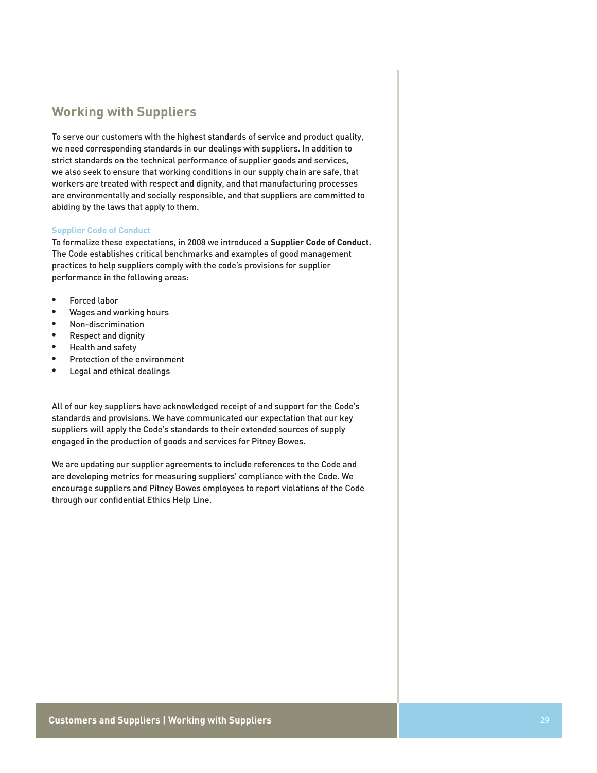# **Working with Suppliers**

To serve our customers with the highest standards of service and product quality, we need corresponding standards in our dealings with suppliers. In addition to strict standards on the technical performance of supplier goods and services, we also seek to ensure that working conditions in our supply chain are safe, that workers are treated with respect and dignity, and that manufacturing processes are environmentally and socially responsible, and that suppliers are committed to abiding by the laws that apply to them.

## **Supplier Code of Conduct**

To formalize these expectations, in 2008 we introduced a **Supplier Code of Conduct**. The Code establishes critical benchmarks and examples of good management practices to help suppliers comply with the code's provisions for supplier performance in the following areas:

- Forced labor
- Wages and working hours
- Non-discrimination
- **Respect and dignity**
- Health and safety
- Protection of the environment
- • Legal and ethical dealings

All of our key suppliers have acknowledged receipt of and support for the Code's standards and provisions. We have communicated our expectation that our key suppliers will apply the Code's standards to their extended sources of supply engaged in the production of goods and services for Pitney Bowes.

We are updating our supplier agreements to include references to the Code and are developing metrics for measuring suppliers' compliance with the Code. We encourage suppliers and Pitney Bowes employees to report violations of the Code through our confidential Ethics Help Line.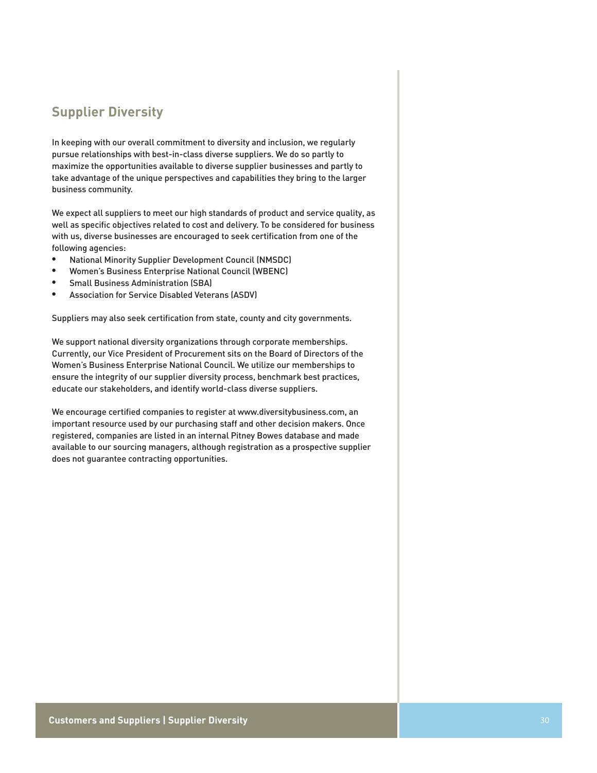# **Supplier Diversity**

In keeping with our overall commitment to diversity and inclusion, we regularly pursue relationships with best-in-class diverse suppliers. We do so partly to maximize the opportunities available to diverse supplier businesses and partly to take advantage of the unique perspectives and capabilities they bring to the larger business community.

We expect all suppliers to meet our high standards of product and service quality, as well as specific objectives related to cost and delivery. To be considered for business with us, diverse businesses are encouraged to seek certification from one of the following agencies:

- • National Minority Supplier Development Council (NMSDC)
- Women's Business Enterprise National Council (WBENC)
- **Small Business Administration (SBA)**
- **Association for Service Disabled Veterans (ASDV)**

Suppliers may also seek certification from state, county and city governments.

We support national diversity organizations through corporate memberships. Currently, our Vice President of Procurement sits on the Board of Directors of the Women's Business Enterprise National Council. We utilize our memberships to ensure the integrity of our supplier diversity process, benchmark best practices, educate our stakeholders, and identify world-class diverse suppliers.

We encourage certified companies to register at www.diversitybusiness.com, an important resource used by our purchasing staff and other decision makers. Once registered, companies are listed in an internal Pitney Bowes database and made available to our sourcing managers, although registration as a prospective supplier does not guarantee contracting opportunities.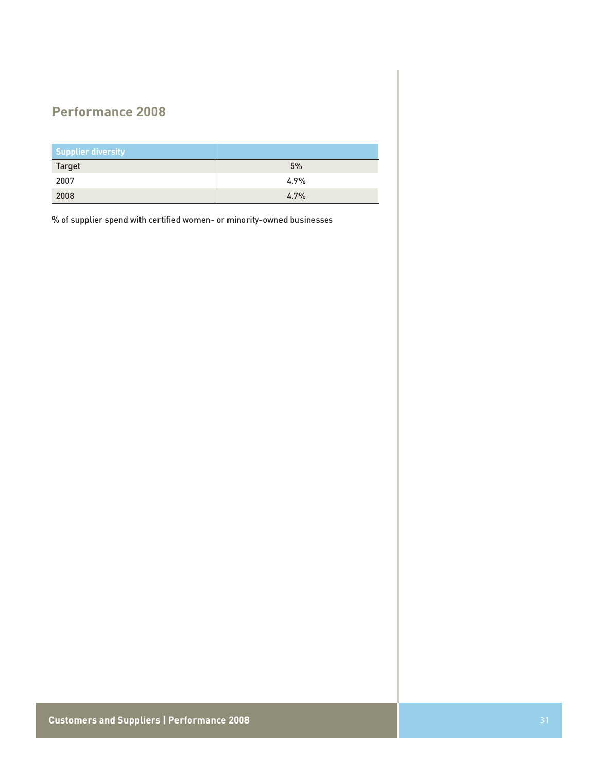# **Performance 2008**

| Supplier diversity |      |
|--------------------|------|
| <b>Target</b>      | 5%   |
| 2007               | 4.9% |
| 2008               | 4.7% |

% of supplier spend with certified women- or minority-owned businesses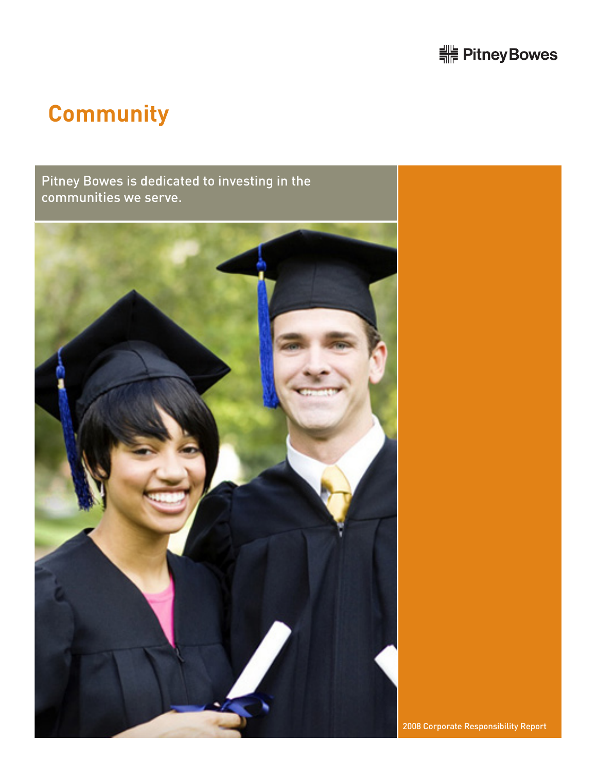![](_page_31_Picture_0.jpeg)

# **Community**

Pitney Bowes is dedicated to investing in the communities we serve.

![](_page_31_Picture_3.jpeg)

2008 Corporate Responsibility Report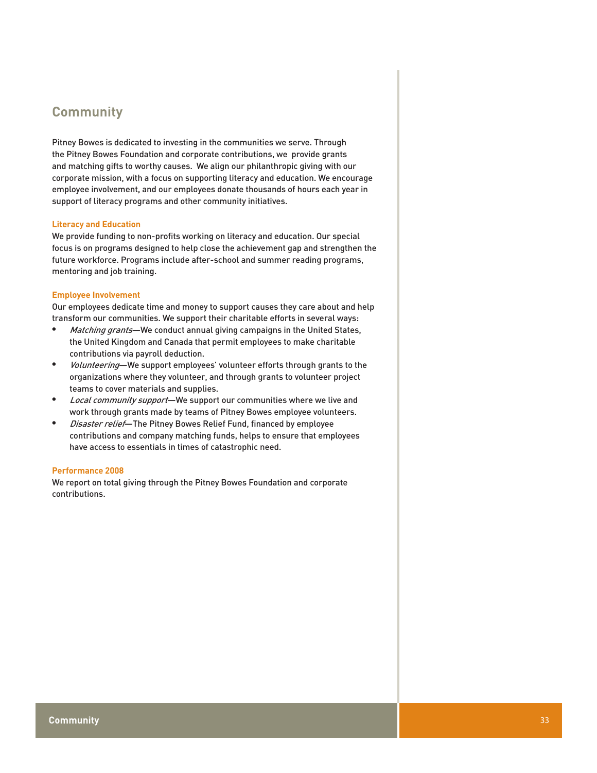# **Community**

Pitney Bowes is dedicated to investing in the communities we serve. Through the Pitney Bowes Foundation and corporate contributions, we provide grants and matching gifts to worthy causes. We align our philanthropic giving with our corporate mission, with a focus on supporting literacy and education. We encourage employee involvement, and our employees donate thousands of hours each year in support of literacy programs and other community initiatives.

## **Literacy and Education**

We provide funding to non-profits working on literacy and education. Our special focus is on programs designed to help close the achievement gap and strengthen the future workforce. Programs include after-school and summer reading programs, mentoring and job training.

## **Employee Involvement**

Our employees dedicate time and money to support causes they care about and help transform our communities. We support their charitable efforts in several ways:

- Matching grants—We conduct annual giving campaigns in the United States, the United Kingdom and Canada that permit employees to make charitable contributions via payroll deduction.
- *Volunteering*—We support employees' volunteer efforts through grants to the organizations where they volunteer, and through grants to volunteer project teams to cover materials and supplies.
- Local community support-We support our communities where we live and work through grants made by teams of Pitney Bowes employee volunteers.
- *Disaster relief*—The Pitney Bowes Relief Fund, financed by employee contributions and company matching funds, helps to ensure that employees have access to essentials in times of catastrophic need.

### **Performance 2008**

We report on total giving through the Pitney Bowes Foundation and corporate contributions.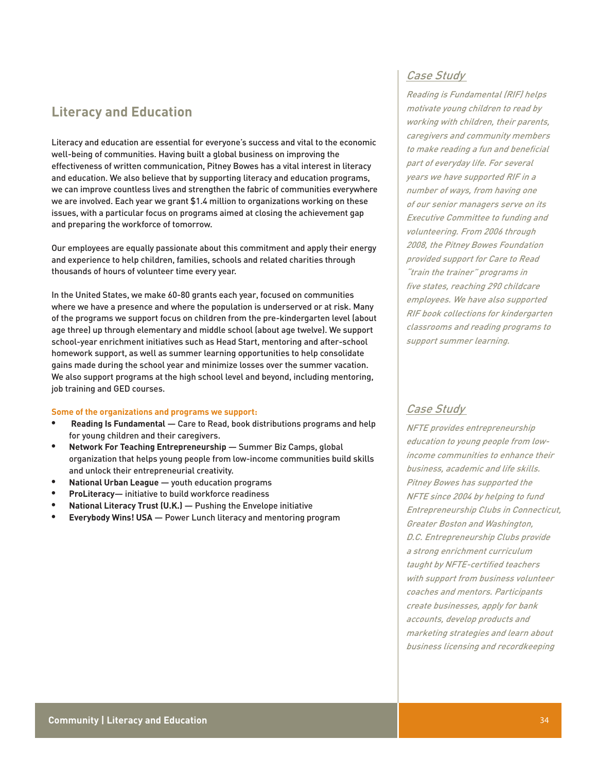# **Literacy and Education**

Literacy and education are essential for everyone's success and vital to the economic well-being of communities. Having built a global business on improving the effectiveness of written communication, Pitney Bowes has a vital interest in literacy and education. We also believe that by supporting literacy and education programs, we can improve countless lives and strengthen the fabric of communities everywhere we are involved. Each year we grant \$1.4 million to organizations working on these issues, with a particular focus on programs aimed at closing the achievement gap and preparing the workforce of tomorrow.

Our employees are equally passionate about this commitment and apply their energy and experience to help children, families, schools and related charities through thousands of hours of volunteer time every year.

In the United States, we make 60-80 grants each year, focused on communities where we have a presence and where the population is underserved or at risk. Many of the programs we support focus on children from the pre-kindergarten level (about age three) up through elementary and middle school (about age twelve). We support school-year enrichment initiatives such as Head Start, mentoring and after-school homework support, as well as summer learning opportunities to help consolidate gains made during the school year and minimize losses over the summer vacation. We also support programs at the high school level and beyond, including mentoring, job training and GED courses.

### **Some of the organizations and programs we support:**

- **• Reading Is Fundamental**  Care to Read, book distributions programs and help for young children and their caregivers.
- **Network For Teaching Entrepreneurship** Summer Biz Camps, global organization that helps young people from low-income communities build skills and unlock their entrepreneurial creativity.
- **National Urban League youth education programs**
- **ProLiteracy** initiative to build workforce readiness
- **National Literacy Trust (U.K.) Pushing the Envelope initiative**
- **Everybody Wins! USA** Power Lunch literacy and mentoring program

## Case Study

Reading is Fundamental (RIF) helps motivate young children to read by working with children, their parents, caregivers and community members to make reading a fun and beneficial part of everyday life. For several years we have supported RIF in a number of ways, from having one of our senior managers serve on its Executive Committee to funding and volunteering. From 2006 through 2008, the Pitney Bowes Foundation provided support for Care to Read "train the trainer" programs in five states, reaching 290 childcare employees. We have also supported RIF book collections for kindergarten classrooms and reading programs to support summer learning.

## Case Study

NFTE provides entrepreneurship education to young people from lowincome communities to enhance their business, academic and life skills. Pitney Bowes has supported the NFTE since 2004 by helping to fund Entrepreneurship Clubs in Connecticut, Greater Boston and Washington, D.C. Entrepreneurship Clubs provide a strong enrichment curriculum taught by NFTE-certified teachers with support from business volunteer coaches and mentors. Participants create businesses, apply for bank accounts, develop products and marketing strategies and learn about business licensing and recordkeeping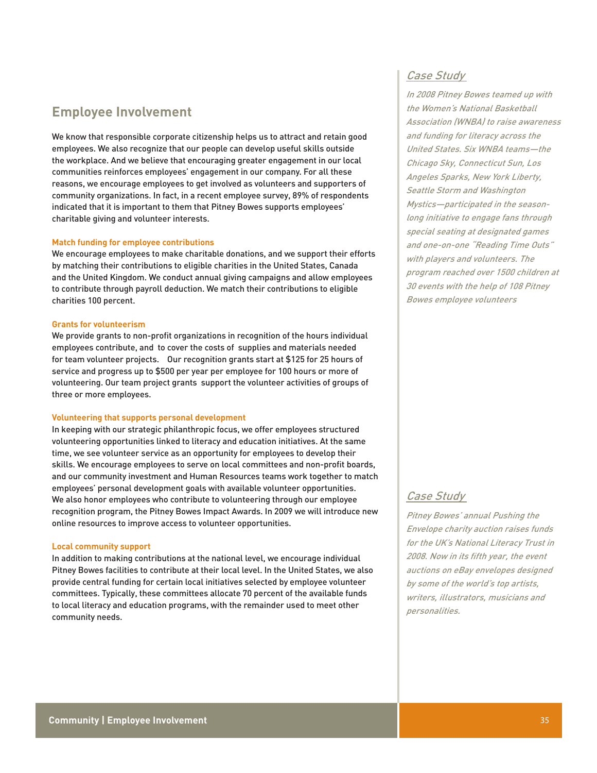# **Employee Involvement**

We know that responsible corporate citizenship helps us to attract and retain good employees. We also recognize that our people can develop useful skills outside the workplace. And we believe that encouraging greater engagement in our local communities reinforces employees' engagement in our company. For all these reasons, we encourage employees to get involved as volunteers and supporters of community organizations. In fact, in a recent employee survey, 89% of respondents indicated that it is important to them that Pitney Bowes supports employees' charitable giving and volunteer interests.

### **Match funding for employee contributions**

We encourage employees to make charitable donations, and we support their efforts by matching their contributions to eligible charities in the United States, Canada and the United Kingdom. We conduct annual giving campaigns and allow employees to contribute through payroll deduction. We match their contributions to eligible charities 100 percent.

### **Grants for volunteerism**

We provide grants to non-profit organizations in recognition of the hours individual employees contribute, and to cover the costs of supplies and materials needed for team volunteer projects. Our recognition grants start at \$125 for 25 hours of service and progress up to \$500 per year per employee for 100 hours or more of volunteering. Our team project grants support the volunteer activities of groups of three or more employees.

## **Volunteering that supports personal development**

In keeping with our strategic philanthropic focus, we offer employees structured volunteering opportunities linked to literacy and education initiatives. At the same time, we see volunteer service as an opportunity for employees to develop their skills. We encourage employees to serve on local committees and non-profit boards, and our community investment and Human Resources teams work together to match employees' personal development goals with available volunteer opportunities. We also honor employees who contribute to volunteering through our employee recognition program, the Pitney Bowes Impact Awards. In 2009 we will introduce new online resources to improve access to volunteer opportunities.

## **Local community support**

In addition to making contributions at the national level, we encourage individual Pitney Bowes facilities to contribute at their local level. In the United States, we also provide central funding for certain local initiatives selected by employee volunteer committees. Typically, these committees allocate 70 percent of the available funds to local literacy and education programs, with the remainder used to meet other community needs.

## Case Study

In 2008 Pitney Bowes teamed up with the Women's National Basketball Association (WNBA) to raise awareness and funding for literacy across the United States. Six WNBA teams—the Chicago Sky, Connecticut Sun, Los Angeles Sparks, New York Liberty, Seattle Storm and Washington Mystics—participated in the seasonlong initiative to engage fans through special seating at designated games and one-on-one "Reading Time Outs" with players and volunteers. The program reached over 1500 children at 30 events with the help of 108 Pitney Bowes employee volunteers

## Case Study

Pitney Bowes' annual Pushing the Envelope charity auction raises funds for the UK's National Literacy Trust in 2008. Now in its fifth year, the event auctions on eBay envelopes designed by some of the world's top artists, writers, illustrators, musicians and personalities.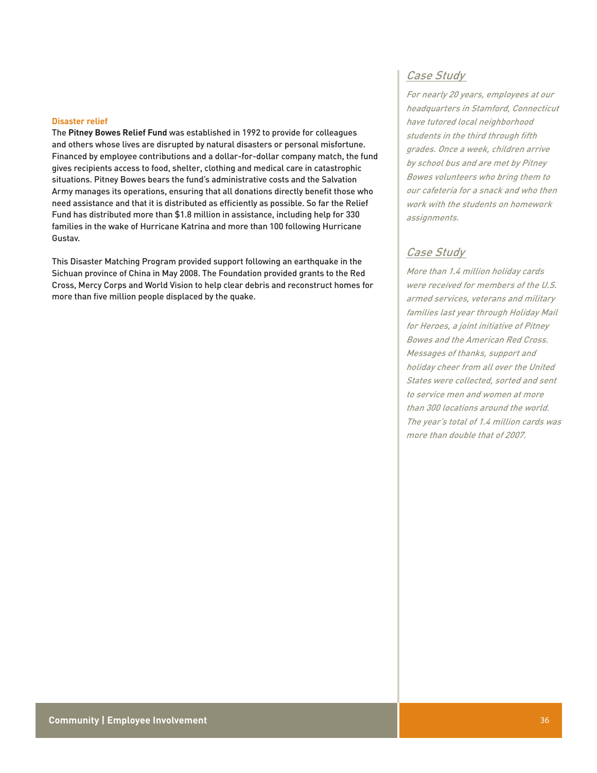#### **Disaster relief**

The **Pitney Bowes Relief Fund** was established in 1992 to provide for colleagues and others whose lives are disrupted by natural disasters or personal misfortune. Financed by employee contributions and a dollar-for-dollar company match, the fund gives recipients access to food, shelter, clothing and medical care in catastrophic situations. Pitney Bowes bears the fund's administrative costs and the Salvation Army manages its operations, ensuring that all donations directly benefit those who need assistance and that it is distributed as efficiently as possible. So far the Relief Fund has distributed more than \$1.8 million in assistance, including help for 330 families in the wake of Hurricane Katrina and more than 100 following Hurricane Gustav.

This Disaster Matching Program provided support following an earthquake in the Sichuan province of China in May 2008. The Foundation provided grants to the Red Cross, Mercy Corps and World Vision to help clear debris and reconstruct homes for more than five million people displaced by the quake.

## Case Study

For nearly 20 years, employees at our headquarters in Stamford, Connecticut have tutored local neighborhood students in the third through fifth grades. Once a week, children arrive by school bus and are met by Pitney Bowes volunteers who bring them to our cafeteria for a snack and who then work with the students on homework assignments.

## Case Study

More than 1.4 million holiday cards were received for members of the U.S. armed services, veterans and military families last year through Holiday Mail for Heroes, a joint initiative of Pitney Bowes and the American Red Cross. Messages of thanks, support and holiday cheer from all over the United States were collected, sorted and sent to service men and women at more than 300 locations around the world. The year's total of 1.4 million cards was more than double that of 2007.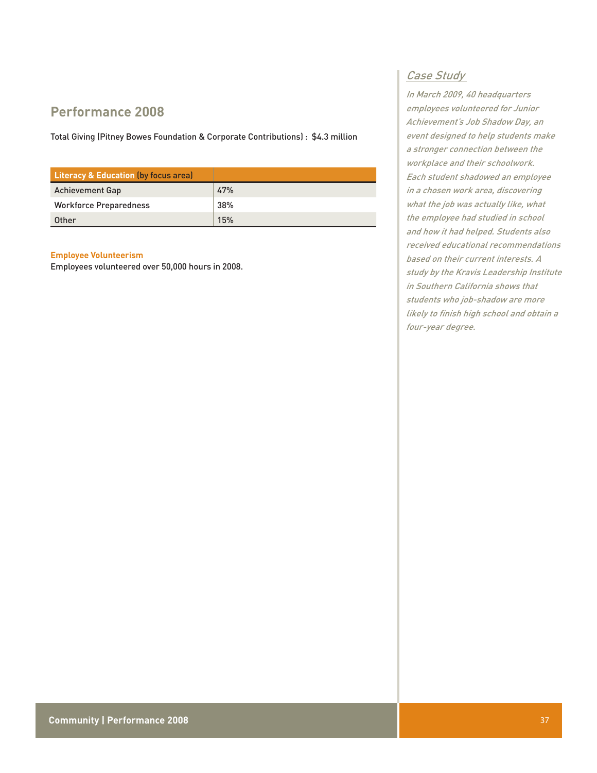# **Performance 2008**

Total Giving (Pitney Bowes Foundation & Corporate Contributions) : \$4.3 million

| <b>Literacy &amp; Education (by focus area)</b> |     |
|-------------------------------------------------|-----|
| <b>Achievement Gap</b>                          | 47% |
| <b>Workforce Preparedness</b>                   | 38% |
| Other                                           | 15% |

## **Employee Volunteerism**

Employees volunteered over 50,000 hours in 2008.

## Case Study

In March 2009, 40 headquarters employees volunteered for Junior Achievement's Job Shadow Day, an event designed to help students make a stronger connection between the workplace and their schoolwork. Each student shadowed an employee in a chosen work area, discovering what the job was actually like, what the employee had studied in school and how it had helped. Students also received educational recommendations based on their current interests. A study by the Kravis Leadership Institute in Southern California shows that students who job-shadow are more likely to finish high school and obtain a four-year degree.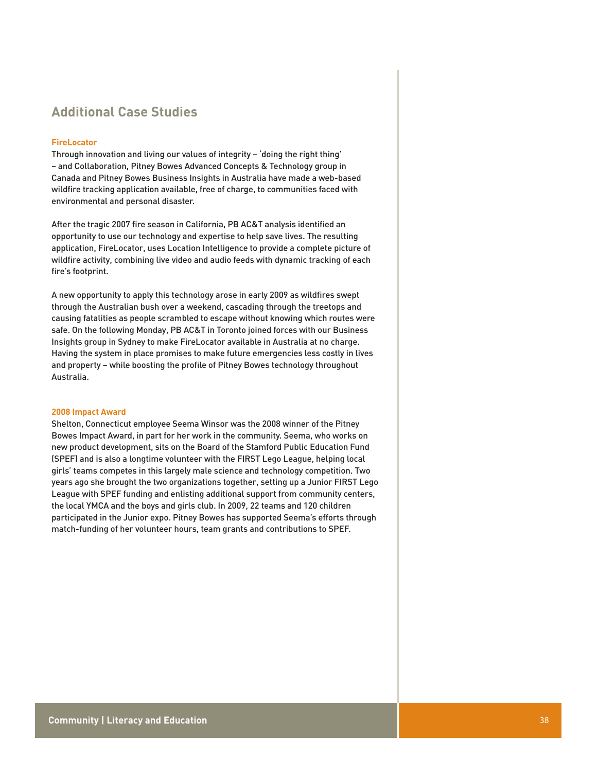# **Additional Case Studies**

## **FireLocator**

Through innovation and living our values of integrity – 'doing the right thing' – and Collaboration, Pitney Bowes Advanced Concepts & Technology group in Canada and Pitney Bowes Business Insights in Australia have made a web-based wildfire tracking application available, free of charge, to communities faced with environmental and personal disaster.

After the tragic 2007 fire season in California, PB AC&T analysis identified an opportunity to use our technology and expertise to help save lives. The resulting application, FireLocator, uses Location Intelligence to provide a complete picture of wildfire activity, combining live video and audio feeds with dynamic tracking of each fire's footprint.

A new opportunity to apply this technology arose in early 2009 as wildfires swept through the Australian bush over a weekend, cascading through the treetops and causing fatalities as people scrambled to escape without knowing which routes were safe. On the following Monday, PB AC&T in Toronto joined forces with our Business Insights group in Sydney to make FireLocator available in Australia at no charge. Having the system in place promises to make future emergencies less costly in lives and property – while boosting the profile of Pitney Bowes technology throughout Australia.

## **2008 Impact Award**

Shelton, Connecticut employee Seema Winsor was the 2008 winner of the Pitney Bowes Impact Award, in part for her work in the community. Seema, who works on new product development, sits on the Board of the Stamford Public Education Fund (SPEF) and is also a longtime volunteer with the FIRST Lego League, helping local girls' teams competes in this largely male science and technology competition. Two years ago she brought the two organizations together, setting up a Junior FIRST Lego League with SPEF funding and enlisting additional support from community centers, the local YMCA and the boys and girls club. In 2009, 22 teams and 120 children participated in the Junior expo. Pitney Bowes has supported Seema's efforts through match-funding of her volunteer hours, team grants and contributions to SPEF.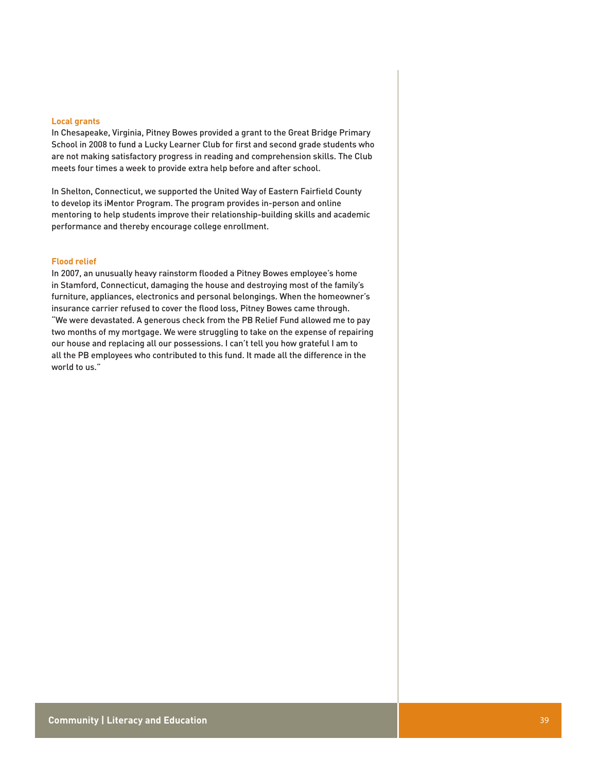#### **Local grants**

In Chesapeake, Virginia, Pitney Bowes provided a grant to the Great Bridge Primary School in 2008 to fund a Lucky Learner Club for first and second grade students who are not making satisfactory progress in reading and comprehension skills. The Club meets four times a week to provide extra help before and after school.

In Shelton, Connecticut, we supported the United Way of Eastern Fairfield County to develop its iMentor Program. The program provides in-person and online mentoring to help students improve their relationship-building skills and academic performance and thereby encourage college enrollment.

## **Flood relief**

In 2007, an unusually heavy rainstorm flooded a Pitney Bowes employee's home in Stamford, Connecticut, damaging the house and destroying most of the family's furniture, appliances, electronics and personal belongings. When the homeowner's insurance carrier refused to cover the flood loss, Pitney Bowes came through. "We were devastated. A generous check from the PB Relief Fund allowed me to pay two months of my mortgage. We were struggling to take on the expense of repairing our house and replacing all our possessions. I can't tell you how grateful I am to all the PB employees who contributed to this fund. It made all the difference in the world to us."